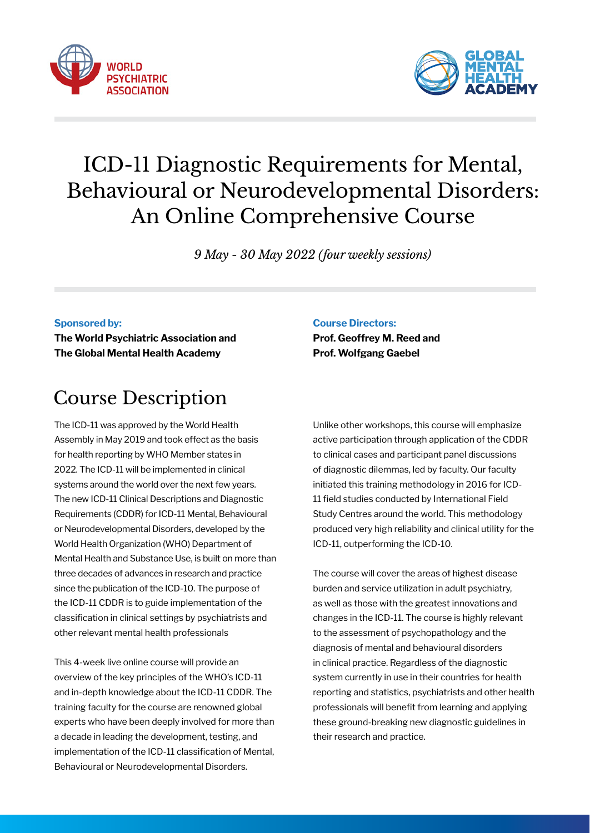



# ICD-11 Diagnostic Requirements for Mental, Behavioural or Neurodevelopmental Disorders: An Online Comprehensive Course

*9 May - 30 May 2022 (four weekly sessions)*

#### **Sponsored by:**

**The World Psychiatric Association and The Global Mental Health Academy**

# Course Description

The ICD-11 was approved by the World Health Assembly in May 2019 and took effect as the basis for health reporting by WHO Member states in 2022. The ICD-11 will be implemented in clinical systems around the world over the next few years. The new ICD-11 Clinical Descriptions and Diagnostic Requirements (CDDR) for ICD-11 Mental, Behavioural or Neurodevelopmental Disorders, developed by the World Health Organization (WHO) Department of Mental Health and Substance Use, is built on more than three decades of advances in research and practice since the publication of the ICD-10. The purpose of the ICD-11 CDDR is to guide implementation of the classification in clinical settings by psychiatrists and other relevant mental health professionals

This 4-week live online course will provide an overview of the key principles of the WHO's ICD-11 and in-depth knowledge about the ICD-11 CDDR. The training faculty for the course are renowned global experts who have been deeply involved for more than a decade in leading the development, testing, and implementation of the ICD-11 classification of Mental, Behavioural or Neurodevelopmental Disorders.

#### **Course Directors:**

**Prof. Geoffrey M. Reed and Prof. Wolfgang Gaebel** 

Unlike other workshops, this course will emphasize active participation through application of the CDDR to clinical cases and participant panel discussions of diagnostic dilemmas, led by faculty. Our faculty initiated this training methodology in 2016 for ICD-11 field studies conducted by International Field Study Centres around the world. This methodology produced very high reliability and clinical utility for the ICD-11, outperforming the ICD-10.

The course will cover the areas of highest disease burden and service utilization in adult psychiatry, as well as those with the greatest innovations and changes in the ICD-11. The course is highly relevant to the assessment of psychopathology and the diagnosis of mental and behavioural disorders in clinical practice. Regardless of the diagnostic system currently in use in their countries for health reporting and statistics, psychiatrists and other health professionals will benefit from learning and applying these ground-breaking new diagnostic guidelines in their research and practice.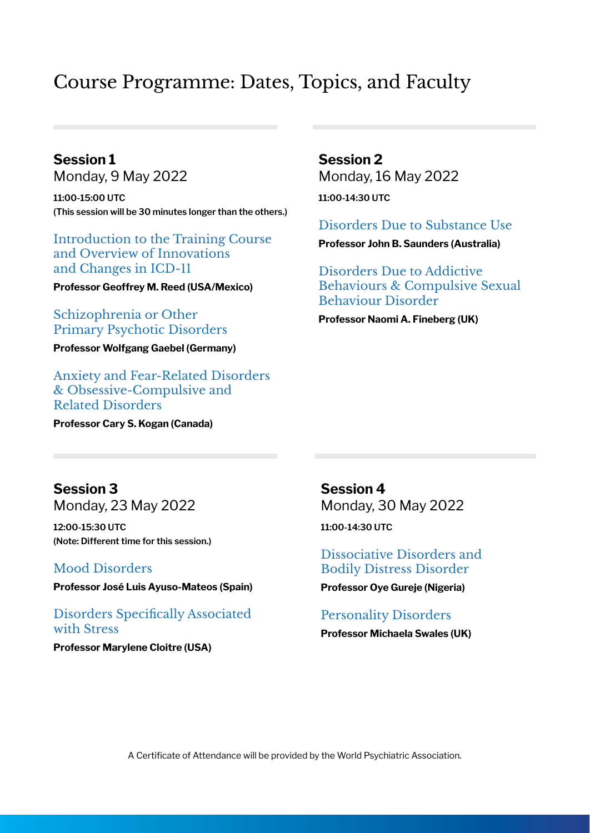## Course Programme: Dates, Topics, and Faculty

**Session 1** Monday, 9 May 2022 **11:00-15:00 UTC (This session will be 30 minutes longer than the others.)**

Introduction to the Training Course and Overview of Innovations and Changes in ICD-11

**Professor Geoffrey M. Reed (USA/Mexico)**

## Schizophrenia or Other Primary Psychotic Disorders

**Professor Wolfgang Gaebel (Germany)**

Anxiety and Fear-Related Disorders & Obsessive-Compulsive and Related Disorders

**Professor Cary S. Kogan (Canada)**

**Session 2** Monday, 16 May 2022 **11:00-14:30 UTC**

Disorders Due to Substance Use

**Professor John B. Saunders (Australia)** 

Disorders Due to Addictive Behaviours & Compulsive Sexual Behaviour Disorder

**Professor Naomi A. Fineberg (UK)**

**Session 3** Monday, 23 May 2022

**12:00-15:30 UTC (Note: Different time for this session.)**

## Mood Disorders

**Professor José Luis Ayuso-Mateos (Spain)**

Disorders Specifically Associated with Stress

**Professor Marylene Cloitre (USA)**

**Session 4** Monday, 30 May 2022 **11:00-14:30 UTC** 

Dissociative Disorders and Bodily Distress Disorder

**Professor Oye Gureje (Nigeria)**

### Personality Disorders

**Professor Michaela Swales (UK)**

A Certificate of Attendance will be provided by the World Psychiatric Association.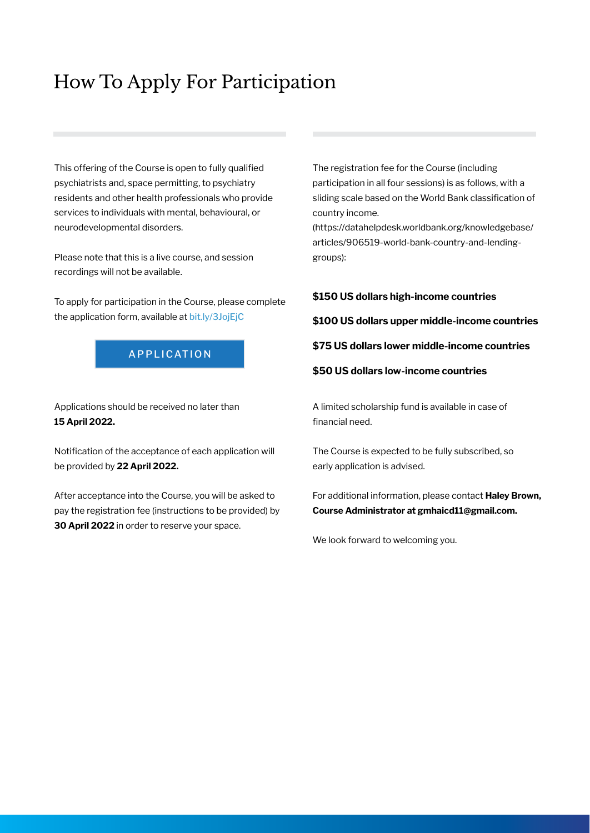# How To Apply For Participation

This offering of the Course is open to fully qualified psychiatrists and, space permitting, to psychiatry residents and other health professionals who provide services to individuals with mental, behavioural, or neurodevelopmental disorders.

Please note that this is a live course, and session recordings will not be available.

To apply for participation in the Course, please complete the application form, available at [bit.ly/3JojEjC](https://bit.ly/3JojEjC
)

### APPLICATION

Applications should be received no later than **15 April 2022.**

Notification of the acceptance of each application will be provided by **22 April 2022.**

After acceptance into the Course, you will be asked to pay the registration fee (instructions to be provided) by **30 April 2022** in order to reserve your space.

The registration fee for the Course (including participation in all four sessions) is as follows, with a sliding scale based on the World Bank classification of country income.

(https://datahelpdesk.worldbank.org/knowledgebase/ articles/906519-world-bank-country-and-lendinggroups):

#### **\$150 US dollars high-income countries**

**\$100 US dollars upper middle-income countries**

**\$75 US dollars lower middle-income countries**

**\$50 US dollars low-income countries**

A limited scholarship fund is available in case of financial need.

The Course is expected to be fully subscribed, so early application is advised.

For additional information, please contact **Haley Brown, Course Administrator at gmhaicd11@gmail.com.**

We look forward to welcoming you.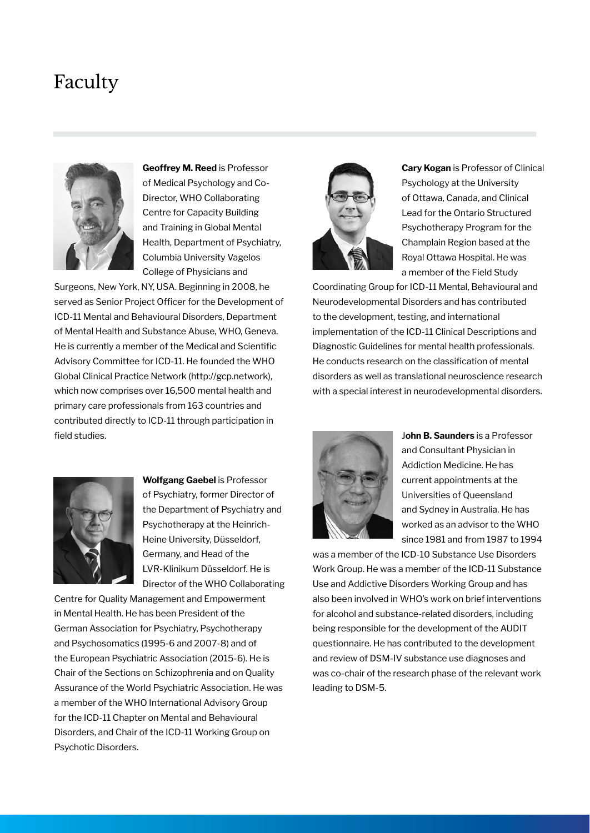## Faculty



**Geoffrey M. Reed** is Professor of Medical Psychology and Co-Director, WHO Collaborating Centre for Capacity Building and Training in Global Mental Health, Department of Psychiatry, Columbia University Vagelos College of Physicians and

Surgeons, New York, NY, USA. Beginning in 2008, he served as Senior Project Officer for the Development of ICD-11 Mental and Behavioural Disorders, Department of Mental Health and Substance Abuse, WHO, Geneva. He is currently a member of the Medical and Scientific Advisory Committee for ICD-11. He founded the WHO Global Clinical Practice Network (http://gcp.network), which now comprises over 16,500 mental health and primary care professionals from 163 countries and contributed directly to ICD-11 through participation in field studies.



**Cary Kogan** is Professor of Clinical Psychology at the University of Ottawa, Canada, and Clinical Lead for the Ontario Structured Psychotherapy Program for the Champlain Region based at the Royal Ottawa Hospital. He was a member of the Field Study

Coordinating Group for ICD-11 Mental, Behavioural and Neurodevelopmental Disorders and has contributed to the development, testing, and international implementation of the ICD-11 Clinical Descriptions and Diagnostic Guidelines for mental health professionals. He conducts research on the classification of mental disorders as well as translational neuroscience research with a special interest in neurodevelopmental disorders.



**Wolfgang Gaebel** is Professor of Psychiatry, former Director of the Department of Psychiatry and Psychotherapy at the Heinrich-Heine University, Düsseldorf, Germany, and Head of the LVR-Klinikum Düsseldorf. He is Director of the WHO Collaborating

Centre for Quality Management and Empowerment in Mental Health. He has been President of the German Association for Psychiatry, Psychotherapy and Psychosomatics (1995-6 and 2007-8) and of the European Psychiatric Association (2015-6). He is Chair of the Sections on Schizophrenia and on Quality Assurance of the World Psychiatric Association. He was a member of the WHO International Advisory Group for the ICD-11 Chapter on Mental and Behavioural Disorders, and Chair of the ICD-11 Working Group on Psychotic Disorders.



J**ohn B. Saunders** is a Professor and Consultant Physician in Addiction Medicine. He has current appointments at the Universities of Queensland and Sydney in Australia. He has worked as an advisor to the WHO since 1981 and from 1987 to 1994

was a member of the ICD-10 Substance Use Disorders Work Group. He was a member of the ICD-11 Substance Use and Addictive Disorders Working Group and has also been involved in WHO's work on brief interventions for alcohol and substance-related disorders, including being responsible for the development of the AUDIT questionnaire. He has contributed to the development and review of DSM-IV substance use diagnoses and was co-chair of the research phase of the relevant work leading to DSM-5.